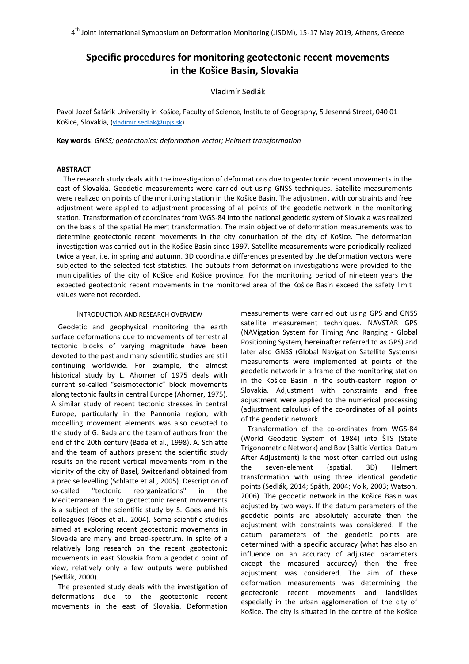# **Specific procedures for monitoring geotectonic recent movements in the Košice Basin, Slovakia**

# Vladimír Sedlák

Pavol Jozef Šafárik University in Košice, Faculty of Science, Institute of Geography, 5 Jesenná Street, 040 01 Košice, Slovakia, [\(vladimir.sedlak@upjs.sk\)](mailto:vladimir.sedlak@upjs.sk)

**Key words**: *GNSS; geotectonics; deformation vector; Helmert transformation* 

## **ABSTRACT**

The research study deals with the investigation of deformations due to geotectonic recent movements in the east of Slovakia. Geodetic measurements were carried out using GNSS techniques. Satellite measurements were realized on points of the monitoring station in the Košice Basin. The adjustment with constraints and free adjustment were applied to adjustment processing of all points of the geodetic network in the monitoring station. Transformation of coordinates from WGS-84 into the national geodetic system of Slovakia was realized on the basis of the spatial Helmert transformation. The main objective of deformation measurements was to determine geotectonic recent movements in the city conurbation of the city of Košice. The deformation investigation was carried out in the Košice Basin since 1997. Satellite measurements were periodically realized twice a year, i.e. in spring and autumn. 3D coordinate differences presented by the deformation vectors were subjected to the selected test statistics. The outputs from deformation investigations were provided to the municipalities of the city of Košice and Košice province. For the monitoring period of nineteen years the expected geotectonic recent movements in the monitored area of the Košice Basin exceed the safety limit values were not recorded.

## INTRODUCTION AND RESEARCH OVERVIEW

Geodetic and geophysical monitoring the earth surface deformations due to movements of terrestrial tectonic blocks of varying magnitude have been devoted to the past and many scientific studies are still continuing worldwide. For example, the almost historical study by L. Ahorner of 1975 deals with current so-called "seismotectonic" block movements along tectonic faults in central Europe (Ahorner, 1975). A similar study of recent tectonic stresses in central Europe, particularly in the Pannonia region, with modelling movement elements was also devoted to the study of G. Bada and the team of authors from the end of the 20th century (Bada et al., 1998). A. Schlatte and the team of authors present the scientific study results on the recent vertical movements from in the vicinity of the city of Basel, Switzerland obtained from a precise levelling (Schlatte et al., 2005). Description of so-called "tectonic reorganizations" in the Mediterranean due to geotectonic recent movements is a subject of the scientific study by S. Goes and his colleagues (Goes et al., 2004). Some scientific studies aimed at exploring recent geotectonic movements in Slovakia are many and broad-spectrum. In spite of a relatively long research on the recent geotectonic movements in east Slovakia from a geodetic point of view, relatively only a few outputs were published (Sedlák, 2000).

The presented study deals with the investigation of deformations due to the geotectonic recent movements in the east of Slovakia. Deformation measurements were carried out using GPS and GNSS satellite measurement techniques. NAVSTAR GPS (NAVigation System for Timing And Ranging - Global Positioning System, hereinafter referred to as GPS) and later also GNSS (Global Navigation Satellite Systems) measurements were implemented at points of the geodetic network in a frame of the monitoring station in the Košice Basin in the south-eastern region of Slovakia. Adjustment with constraints and free adjustment were applied to the numerical processing (adjustment calculus) of the co-ordinates of all points of the geodetic network.

Transformation of the co-ordinates from WGS-84 (World Geodetic System of 1984) into ŠTS (State Trigonometric Network) and Bpv (Baltic Vertical Datum After Adjustment) is the most often carried out using the seven-element (spatial, 3D) Helmert transformation with using three identical geodetic points (Sedlák, 2014; Späth, 2004; Volk, 2003; Watson, 2006). The geodetic network in the Košice Basin was adjusted by two ways. If the datum parameters of the geodetic points are absolutely accurate then the adjustment with constraints was considered. If the datum parameters of the geodetic points are determined with a specific accuracy (what has also an influence on an accuracy of adjusted parameters except the measured accuracy) then the free adjustment was considered. The aim of these deformation measurements was determining the geotectonic recent movements and landslides especially in the urban agglomeration of the city of Košice. The city is situated in the centre of the Košice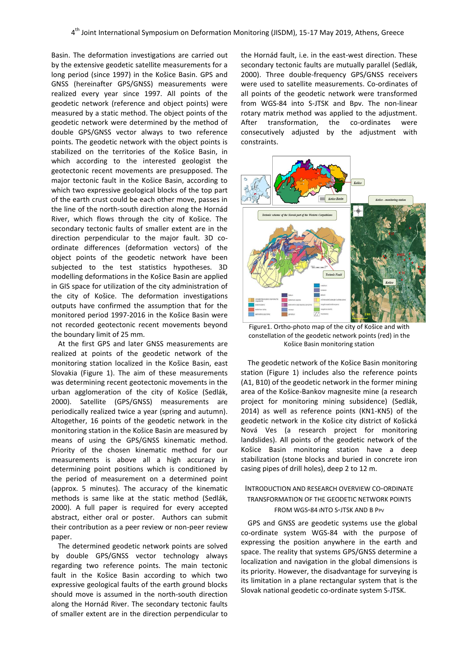Basin. The deformation investigations are carried out by the extensive geodetic satellite measurements for a long period (since 1997) in the Košice Basin. GPS and GNSS (hereinafter GPS/GNSS) measurements were realized every year since 1997. All points of the geodetic network (reference and object points) were measured by a static method. The object points of the geodetic network were determined by the method of double GPS/GNSS vector always to two reference points. The geodetic network with the object points is stabilized on the territories of the Košice Basin, in which according to the interested geologist the geotectonic recent movements are presupposed. The major tectonic fault in the Košice Basin, according to which two expressive geological blocks of the top part of the earth crust could be each other move, passes in the line of the north-south direction along the Hornád River, which flows through the city of Košice. The secondary tectonic faults of smaller extent are in the direction perpendicular to the major fault. 3D coordinate differences (deformation vectors) of the object points of the geodetic network have been subjected to the test statistics hypotheses. 3D modelling deformations in the Košice Basin are applied in GIS space for utilization of the city administration of the city of Košice. The deformation investigations outputs have confirmed the assumption that for the monitored period 1997-2016 in the Košice Basin were not recorded geotectonic recent movements beyond the boundary limit of 25 mm.

At the first GPS and later GNSS measurements are realized at points of the geodetic network of the monitoring station localized in the Košice Basin, east Slovakia (Figure 1). The aim of these measurements was determining recent geotectonic movements in the urban agglomeration of the city of Košice (Sedlák, 2000). Satellite (GPS/GNSS) measurements are periodically realized twice a year (spring and autumn). Altogether, 16 points of the geodetic network in the monitoring station in the Košice Basin are measured by means of using the GPS/GNSS kinematic method. Priority of the chosen kinematic method for our measurements is above all a high accuracy in determining point positions which is conditioned by the period of measurement on a determined point (approx. 5 minutes). The accuracy of the kinematic methods is same like at the static method (Sedlák, 2000). A full paper is required for every accepted abstract, either oral or poster. Authors can submit their contribution as a peer review or non-peer review paper.

The determined geodetic network points are solved by double GPS/GNSS vector technology always regarding two reference points. The main tectonic fault in the Košice Basin according to which two expressive geological faults of the earth ground blocks should move is assumed in the north-south direction along the Hornád River. The secondary tectonic faults of smaller extent are in the direction perpendicular to

the Hornád fault, i.e. in the east-west direction. These secondary tectonic faults are mutually parallel (Sedlák, 2000). Three double-frequency GPS/GNSS receivers were used to satellite measurements. Co-ordinates of all points of the geodetic network were transformed from WGS-84 into S-JTSK and Bpv. The non-linear rotary matrix method was applied to the adjustment. After transformation, the co-ordinates were consecutively adjusted by the adjustment with constraints.



Figure1. Ortho-photo map of the city of Košice and with constellation of the geodetic network points (red) in the Košice Basin monitoring station

The geodetic network of the Košice Basin monitoring station (Figure 1) includes also the reference points (A1, B10) of the geodetic network in the former mining area of the Košice-Bankov magnesite mine (a research project for monitoring mining subsidence) (Sedlák, 2014) as well as reference points (KN1-KN5) of the geodetic network in the Košice city district of Košická Nová Ves (a research project for monitoring landslides). All points of the geodetic network of the Košice Basin monitoring station have a deep stabilization (stone blocks and buried in concrete iron casing pipes of drill holes), deep 2 to 12 m.

# INTRODUCTION AND RESEARCH OVERVIEW CO-ORDINATE TRANSFORMATION OF THE GEODETIC NETWORK POINTS FROM WGS-84 INTO S-JTSK AND B PPV

GPS and GNSS are geodetic systems use the global co-ordinate system WGS-84 with the purpose of expressing the position anywhere in the earth and space. The reality that systems GPS/GNSS determine a localization and navigation in the global dimensions is its priority. However, the disadvantage for surveying is its limitation in a plane rectangular system that is the Slovak national geodetic co-ordinate system S-JTSK.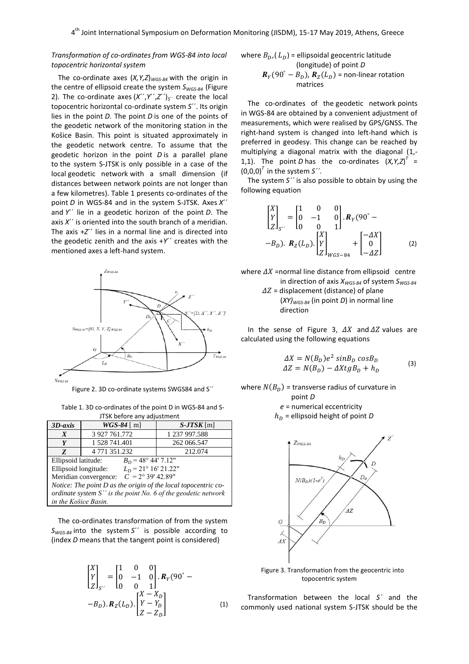# *Transformation of co-ordinates from WGS-84 into local topocentric horizontal system*

The co-ordinate axes (*X,Y,Z*)*WGS-84* with the origin in the centre of ellipsoid create the system *SWGS-84* (Figure 2). The co-ordinate axes  $(X^{\prime\prime}, Y^{\prime\prime}, Z^{\prime\prime})_{S^{\prime\prime}}$  create the local topocentric horizontal co-ordinate system *S*´´. Its origin lies in the point *D*. The point *D* is one of the points of the geodetic network of the monitoring station in the Košice Basin. This point is situated approximately in the geodetic network centre. To assume that the geodetic horizon in the point *D* is a parallel plane to the system S-JTSK is only possible in a case of the local geodetic network with a small dimension (if distances between network points are not longer than a few kilometres). Table 1 presents co-ordinates of the point *D* in WGS-84 and in the system S-JTSK. Axes *X*´´ and *Y*´´ lie in a geodetic horizon of the point *D*. The axis *X*´´ is oriented into the south branch of a meridian. The axis +*Z*´´ lies in a normal line and is directed into the geodetic zenith and the axis +*Y*´´ creates with the mentioned axes a left-hand system.



Figure 2. 3D co-ordinate systems SWGS84 and S´´

| Table 1. 3D co-ordinates of the point D in WGS-84 and S- |
|----------------------------------------------------------|
| JTSK before any adjustment                               |

| $3D-axis$                                                        | $WGS-84$ [ m] | $S-JTSK$ [m]  |  |
|------------------------------------------------------------------|---------------|---------------|--|
| X                                                                | 3 927 761.772 | 1 237 997.588 |  |
| Y                                                                | 1 528 741.401 | 262 066.547   |  |
| Z                                                                | 4 771 351.232 | 212.074       |  |
| $B_D = 48^{\circ}$ 44' 7.12"<br>Ellipsoid latitude:              |               |               |  |
| $L_p = 21^{\circ} 16' 21.22"$<br>Ellipsoid longitude:            |               |               |  |
| $C = 2^{\circ} 39' 42.89''$<br>Meridian convergence:             |               |               |  |
| Notice: The point $D$ as the origin of the local topocentric co- |               |               |  |
| ordinate system $S''$ is the point No. 6 of the geodetic network |               |               |  |
| in the Košice Basin.                                             |               |               |  |

The co-ordinates transformation of from the system *SWGS-84* into the system *S*´´ is possible according to (index *D* means that the tangent point is considered)

$$
\begin{bmatrix} X \ Y \ Z \end{bmatrix}_{S''} = \begin{bmatrix} 1 & 0 & 0 \ 0 & -1 & 0 \ 0 & 0 & 1 \end{bmatrix} \cdot R_Y(90^\circ - B_D) \cdot R_Z(L_D) \cdot \begin{bmatrix} X - X_D \ Y - Y_D \ Z - Z_D \end{bmatrix}
$$
 (1)

where 
$$
B_D
$$
,  $(L_D)$  = ellipsoidal geocentric latitude  
\n(longitude) of point *D*  
\n $R_Y(90^\circ - B_D)$ ,  $R_Z(L_D)$  = non-linear rotation  
\nmatrices

The co-ordinates of the geodetic network points in WGS-84 are obtained by a convenient adjustment of measurements, which were realised by GPS/GNSS. The right-hand system is changed into left-hand which is preferred in geodesy. This change can be reached by multiplying a diagonal matrix with the diagonal (1,- 1,1). The point *D* has the co-ordinates  $(X, Y, Z)^{T} =$  $(0,0,0)^T$  in the system S<sup>2</sup>.

The system *S´´* is also possible to obtain by using the following equation

$$
\begin{bmatrix} X \\ Y \\ Z \end{bmatrix}_{S'} = \begin{bmatrix} 1 & 0 & 0 \\ 0 & -1 & 0 \\ 0 & 0 & 1 \end{bmatrix} \cdot R_Y(90^\circ - B_D). \quad R_Z(L_D). \begin{bmatrix} X \\ Y \\ Z \end{bmatrix}_{WGS-84} + \begin{bmatrix} -\Delta X \\ 0 \\ -\Delta Z \end{bmatrix}
$$
 (2)

where  $\Delta X$  =normal line distance from ellipsoid centre in direction of axis *XWGS-84* of system *SWGS-84*

> $\Delta Z$  = displacement (distance) of plane (*XY)WGS-84* (in point *D*) in normal line direction

In the sense of Figure 3,  $\Delta X$  and  $\Delta Z$  values are calculated using the following equations

$$
\begin{aligned} \Delta X &= N(B_D)e^2 \sin B_D \cos B_D\\ \Delta Z &= N(B_D) - \Delta X t g B_D + h_D \end{aligned} \tag{3}
$$

where  $N(B_n)$  = transverse radius of curvature in point *D*

*e* = numerical eccentricity

 $h_D$  = ellipsoid height of point *D* 



Figure 3. Transformation from the geocentric into topocentric system

Transformation between the local *S´* and the commonly used national system S-JTSK should be the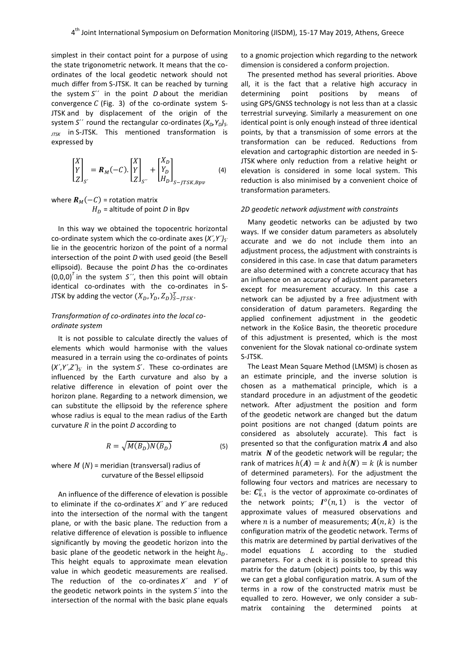simplest in their contact point for a purpose of using the state trigonometric network. It means that the coordinates of the local geodetic network should not much differ from S-JTSK. It can be reached by turning the system *S*´´ in the point *D* about the meridian convergence  $C$  (Fig. 3) of the co-ordinate system S-JTSK and by displacement of the origin of the system *S*<sup> $\prime$ </sup> round the rectangular co-ordinates ( $X_D$ ,  $Y_D$ )<sub>*S*-</sub> *JTSK* in S-JTSK. This mentioned transformation is expressed by

$$
\begin{bmatrix} X \\ Y \\ Z \end{bmatrix}_{S'} = \mathbf{R}_M(-C) \cdot \begin{bmatrix} X \\ Y \\ Z \end{bmatrix}_{S'} + \begin{bmatrix} X_D \\ Y_D \\ H_D \end{bmatrix}_{S-JTSK,Bpv} \tag{4}
$$

where  $R_M(-C)$  = rotation matrix  $H_D$  = altitude of point *D* in Bpv

In this way we obtained the topocentric horizontal co-ordinate system which the co-ordinate axes  $(X', Y')_{S'}$ lie in the geocentric horizon of the point of a normal intersection of the point *D* with used geoid (the Besell ellipsoid). Because the point *D* has the co-ordinates (0,0,0) *T* in the system *S´´*, then this point will obtain identical co-ordinates with the co-ordinates in S-JTSK by adding the vector  $(X_D, Y_D, Z_D)_{S-JTSK}^T$ .

## *Transformation of co-ordinates into the local coordinate system*

It is not possible to calculate directly the values of elements which would harmonise with the values measured in a terrain using the co-ordinates of points  $(X', Y', Z')_{S'}$  in the system *S*<sup> $\prime$ </sup>. These co-ordinates are influenced by the Earth curvature and also by a relative difference in elevation of point over the horizon plane. Regarding to a network dimension, we can substitute the ellipsoid by the reference sphere whose radius is equal to the mean radius of the Earth curvature  $R$  in the point  $D$  according to

$$
R = \sqrt{M(B_D)N(B_D)}\tag{5}
$$

where  $M(N)$  = meridian (transversal) radius of curvature of the Bessel ellipsoid

An influence of the difference of elevation is possible to eliminate if the co-ordinates *X´* and *Y´* are reduced into the intersection of the normal with the tangent plane, or with the basic plane. The reduction from a relative difference of elevation is possible to influence significantly by moving the geodetic horizon into the basic plane of the geodetic network in the height  $h<sub>p</sub>$ . This height equals to approximate mean elevation value in which geodetic measurements are realised. The reduction of the co-ordinates *X´* and *Y´* of the geodetic network points in the system *S´* into the intersection of the normal with the basic plane equals

to a gnomic projection which regarding to the network dimension is considered a conform projection.

The presented method has several priorities. Above all, it is the fact that a relative high accuracy in determining point positions by means of using GPS/GNSS technology is not less than at a classic terrestrial surveying. Similarly a measurement on one identical point is only enough instead of three identical points, by that a transmission of some errors at the transformation can be reduced. Reductions from elevation and cartographic distortion are needed in S-JTSK where only reduction from a relative height or elevation is considered in some local system. This reduction is also minimised by a convenient choice of transformation parameters.

## *2D geodetic network adjustment with constraints*

Many geodetic networks can be adjusted by two ways. If we consider datum parameters as absolutely accurate and we do not include them into an adjustment process, the adjustment with constraints is considered in this case. In case that datum parameters are also determined with a concrete accuracy that has an influence on an accuracy of adjustment parameters except for measurement accuracy. In this case a network can be adjusted by a free adjustment with consideration of datum parameters. Regarding the applied confinement adjustment in the geodetic network in the Košice Basin, the theoretic procedure of this adjustment is presented, which is the most convenient for the Slovak national co-ordinate system S-JTSK.

The Least Mean Square Method (LMSM) is chosen as an estimate principle, and the inverse solution is chosen as a mathematical principle, which is a standard procedure in an adjustment of the geodetic network. After adjustment the position and form of the geodetic network are changed but the datum point positions are not changed (datum points are considered as absolutely accurate). This fact is presented so that the configuration matrix  $A$  and also matrix  $N$  of the geodetic network will be regular; the rank of matrices  $h(A) = k$  and  $h(N) = k$  (*k* is number of determined parameters). For the adjustment the following four vectors and matrices are necessary to be:  $C_{k,1}^o$  is the vector of approximate co-ordinates of the network points;  $I^o(n, 1)$  is the vector of approximate values of measured observations and where *n* is a number of measurements;  $A(n, k)$  is the configuration matrix of the geodetic network. Terms of this matrix are determined by partial derivatives of the model equations  $L$  according to the studied parameters. For a check it is possible to spread this matrix for the datum (object) points too, by this way we can get a global configuration matrix. A sum of the terms in a row of the constructed matrix must be equalled to zero. However, we only consider a submatrix containing the determined points at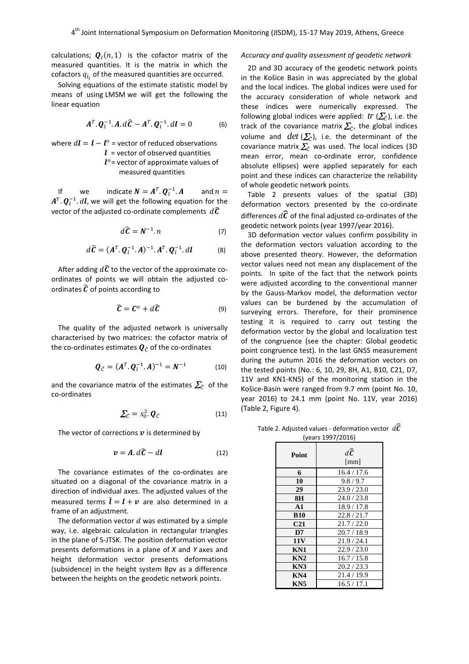calculations;  $\boldsymbol{Q}_l(n,1)$  is the cofactor matrix of the measured quantities. It is the matrix in which the cofactors  $q_{l_i}$  of the measured quantities are occurred.

Solving equations of the estimate statistic model by means of using LMSM we will get the following the linear equation

$$
\boldsymbol{A}^T \cdot \boldsymbol{Q}_l^{-1} \cdot \boldsymbol{A} \cdot d\boldsymbol{\widehat{C}} - \boldsymbol{A}^T \cdot \boldsymbol{Q}_l^{-1} \cdot d\boldsymbol{l} = 0 \tag{6}
$$

where  $d\bm{l} = \bm{l} - \bm{l}^o$  = vector of reduced observations  $l =$  vector of observed quantities  $l^o$  = vector of approximate values of measured quantities

If we indicate  $N = A^T \cdot Q^-_l$ and  $n =$  $A^T$ .  $\mathbf{Q}^{-1}_{l}$ .  $d\bm{l}$ , we will get the following equation for the vector of the adjusted co-ordinate complements  $d\widehat{\mathcal{C}}$ 

$$
d\widehat{\mathbf{C}} = \mathbf{N}^{-1}.\,n\tag{7}
$$

$$
d\widehat{\mathbf{C}} = (\mathbf{A}^T, \mathbf{Q}_l^{-1}, \mathbf{A})^{-1}, \mathbf{A}^T, \mathbf{Q}_l^{-1}, \mathbf{d}\mathbf{l} \tag{8}
$$

After adding  $d\widehat{\mathcal{C}}$  to the vector of the approximate coordinates of points we will obtain the adjusted coordinates  $\widehat{C}$  of points according to

$$
\widehat{\mathbf{C}} = \mathbf{C}^o + d\widehat{\mathbf{C}} \tag{9}
$$

The quality of the adjusted network is universally characterised by two matrices: the cofactor matrix of the co-ordinates estimates  $\mathbf{Q}_{\hat{c}}$  of the co-ordinates

$$
\boldsymbol{Q}_{\hat{\mathcal{C}}} = (\boldsymbol{A}^T, \boldsymbol{Q}_l^{-1}, \boldsymbol{A})^{-1} = \boldsymbol{N}^{-1} \tag{10}
$$

and the covariance matrix of the estimates  $\sum_{\hat{c}}$  of the co-ordinates

$$
\Sigma_{\hat{c}} = s_0^2 \cdot \boldsymbol{Q}_{\hat{c}} \tag{11}
$$

The vector of corrections  $v$  is determined by

$$
v = A \cdot d\hat{\mathcal{C}} - d\mathbf{l} \tag{12}
$$

The covariance estimates of the co-ordinates are situated on a diagonal of the covariance matrix in a direction of individual axes. The adjusted values of the measured terms  $\hat{\bm{l}} = \bm{l} + \bm{v}$  are also determined in a frame of an adjustment*.*

The deformation vector  $d$  was estimated by a simple way, i.e. algebraic calculation in rectangular triangles in the plane of S-JTSK. The position deformation vector presents deformations in a plane of *X* and *Y* axes and height deformation vector presents deformations (subsidence) in the height system Bpv as a difference between the heights on the geodetic network points.

## *Accuracy and quality assessment of geodetic network*

2D and 3D accuracy of the geodetic network points in the Košice Basin in was appreciated by the global and the local indices. The global indices were used for the accuracy consideration of whole network and these indices were numerically expressed. The following global indices were applied:  $tr(\sum_{\hat{C}})$ , i.e. the track of the covariance matrix  $\sum_{\hat{c}}$ , the global indices volume and  $det\ (\sum_{\hat{c}})$ , i.e. the determinant of the covariance matrix  $\sum_{\hat{c}}$  was used. The local indices (3D mean error, mean co-ordinate error, confidence absolute ellipses) were applied separately for each point and these indices can characterize the reliability of whole geodetic network points.

Table 2 presents values of the spatial (3D) deformation vectors presented by the co-ordinate differences  $d\vec{c}$  of the final adjusted co-ordinates of the geodetic network points (year 1997/year 2016).

3D deformation vector values confirm possibility in the deformation vectors valuation according to the above presented theory. However, the deformation vector values need not mean any displacement of the points. In spite of the fact that the network points were adjusted according to the conventional manner by the Gauss-Markov model, the deformation vector values can be burdened by the accumulation of surveying errors. Therefore, for their prominence testing it is required to carry out testing the deformation vector by the global and localization test of the congruence (see the chapter: Global geodetic point congruence test). In the last GNSS measurement during the autumn 2016 the deformation vectors on the tested points (No.: 6, 10, 29, 8H, A1, B10, C21, D7, 11V and KN1-KN5) of the monitoring station in the Košice-Basin were ranged from 9.7 mm (point No. 10, year 2016) to 24.1 mm (point No. 11V, year 2016) (Table 2, Figure 4).

Table 2. Adjusted values - deformation vector  $\,d\overline{\bm{C}}\,$  $(2007/2016)$ 

| (Yedis 1997/2010) |                                             |  |
|-------------------|---------------------------------------------|--|
| Point             | $d\widehat{\overline{\mathcal{C}}}$<br>[mm] |  |
| 6                 | 16.4 / 17.6                                 |  |
| 10                | 9.8/9.7                                     |  |
| 29                | 23.9/23.0                                   |  |
| 8H                | 24.0 / 23.8                                 |  |
| $\mathbf{A1}$     | 18.9 / 17.8                                 |  |
| <b>B10</b>        | 22.8/21.7                                   |  |
| C <sub>21</sub>   | 21.7/22.0                                   |  |
| D7                | 20.7/18.9                                   |  |
| <b>11V</b>        | 21.9/24.1                                   |  |
| KN1               | 22.9/23.0                                   |  |
| KN2               | 16.7 / 15.8                                 |  |
| KN3               | 20.2 / 23.3                                 |  |
| KN4               | 21.4/19.9                                   |  |
| KN5               | 16.5/17.1                                   |  |